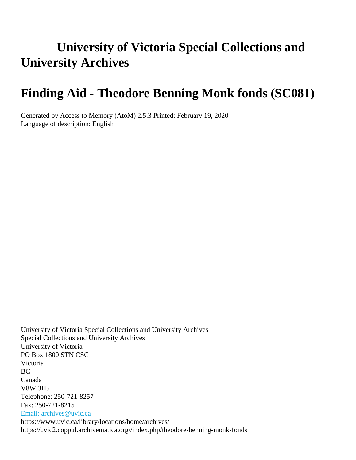# **University of Victoria Special Collections and University Archives**

# **Finding Aid - Theodore Benning Monk fonds (SC081)**

Generated by Access to Memory (AtoM) 2.5.3 Printed: February 19, 2020 Language of description: English

University of Victoria Special Collections and University Archives Special Collections and University Archives University of Victoria PO Box 1800 STN CSC Victoria BC Canada V8W 3H5 Telephone: 250-721-8257 Fax: 250-721-8215 [Email: archives@uvic.ca](mailto:Email: archives@uvic.ca) https://www.uvic.ca/library/locations/home/archives/ https://uvic2.coppul.archivematica.org//index.php/theodore-benning-monk-fonds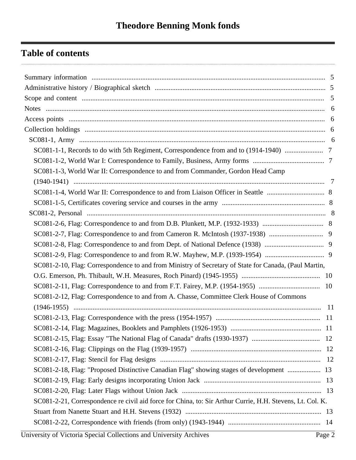## **Table of contents**

| SC081-1-1, Records to do with 5th Regiment, Correspondence from and to (1914-1940)                        |  |
|-----------------------------------------------------------------------------------------------------------|--|
|                                                                                                           |  |
| SC081-1-3, World War II: Correspondence to and from Commander, Gordon Head Camp                           |  |
|                                                                                                           |  |
|                                                                                                           |  |
|                                                                                                           |  |
|                                                                                                           |  |
|                                                                                                           |  |
|                                                                                                           |  |
|                                                                                                           |  |
|                                                                                                           |  |
| SC081-2-10, Flag: Correspondence to and from Ministry of Secretary of State for Canada, (Paul Martin,     |  |
|                                                                                                           |  |
|                                                                                                           |  |
| SC081-2-12, Flag: Correspondence to and from A. Chasse, Committee Clerk House of Commons                  |  |
|                                                                                                           |  |
|                                                                                                           |  |
|                                                                                                           |  |
|                                                                                                           |  |
|                                                                                                           |  |
|                                                                                                           |  |
| SC081-2-18, Flag: "Proposed Distinctive Canadian Flag" showing stages of development  13                  |  |
|                                                                                                           |  |
|                                                                                                           |  |
| SC081-2-21, Correspondence re civil aid force for China, to: Sir Arthur Currie, H.H. Stevens, Lt. Col. K. |  |
|                                                                                                           |  |
|                                                                                                           |  |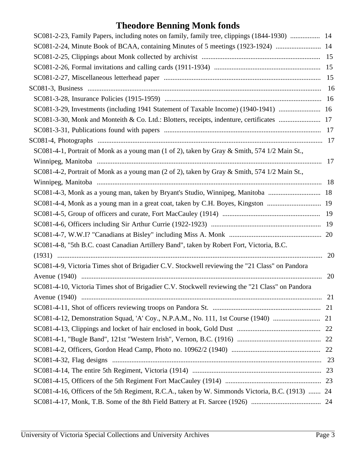# **Theodore Benning Monk fonds**

| SC081-2-23, Family Papers, including notes on family, family tree, clippings (1844-1930)  14     |    |
|--------------------------------------------------------------------------------------------------|----|
| SC081-2-24, Minute Book of BCAA, containing Minutes of 5 meetings (1923-1924)  14                |    |
|                                                                                                  |    |
|                                                                                                  |    |
|                                                                                                  |    |
|                                                                                                  |    |
|                                                                                                  |    |
| SC081-3-29, Investments (including 1941 Statement of Taxable Income) (1940-1941)  16             |    |
| SC081-3-30, Monk and Monteith & Co. Ltd.: Blotters, receipts, indenture, certificates  17        |    |
|                                                                                                  |    |
|                                                                                                  |    |
| SC081-4-1, Portrait of Monk as a young man (1 of 2), taken by Gray & Smith, 574 1/2 Main St.,    |    |
|                                                                                                  |    |
| SC081-4-2, Portrait of Monk as a young man (2 of 2), taken by Gray & Smith, 574 1/2 Main St.,    |    |
|                                                                                                  |    |
| SC081-4-3, Monk as a young man, taken by Bryant's Studio, Winnipeg, Manitoba  18                 |    |
| SC081-4-4, Monk as a young man in a great coat, taken by C.H. Boyes, Kingston  19                |    |
|                                                                                                  |    |
|                                                                                                  |    |
|                                                                                                  |    |
| SC081-4-8, "5th B.C. coast Canadian Artillery Band", taken by Robert Fort, Victoria, B.C.        |    |
|                                                                                                  | 20 |
| SC081-4-9, Victoria Times shot of Brigadier C.V. Stockwell reviewing the "21 Class" on Pandora   |    |
|                                                                                                  | 20 |
| SC081-4-10, Victoria Times shot of Brigadier C.V. Stockwell reviewing the "21 Class" on Pandora  |    |
|                                                                                                  |    |
|                                                                                                  |    |
|                                                                                                  |    |
|                                                                                                  |    |
|                                                                                                  |    |
|                                                                                                  |    |
|                                                                                                  |    |
|                                                                                                  |    |
|                                                                                                  |    |
| SC081-4-16, Officers of the 5th Regiment, R.C.A., taken by W. Simmonds Victoria, B.C. (1913)  24 |    |
|                                                                                                  |    |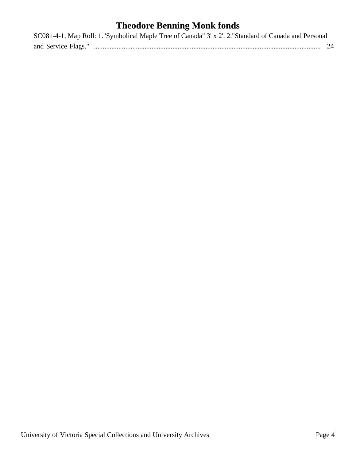# **Theodore Benning Monk fonds**

| SC081-4-1, Map Roll: 1."Symbolical Maple Tree of Canada" 3' x 2'. 2."Standard of Canada and Personal |  |
|------------------------------------------------------------------------------------------------------|--|
|                                                                                                      |  |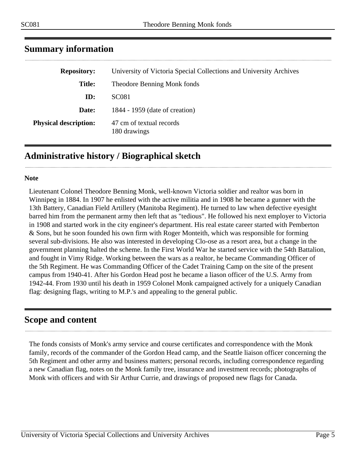| University of Victoria Special Collections and University Archives |
|--------------------------------------------------------------------|
| Theodore Benning Monk fonds                                        |
| <b>SC081</b>                                                       |
| 1844 - 1959 (date of creation)                                     |
| 47 cm of textual records<br>180 drawings                           |
|                                                                    |

### <span id="page-4-0"></span>**Summary information**

## <span id="page-4-1"></span>**Administrative history / Biographical sketch**

#### **Note**

Lieutenant Colonel Theodore Benning Monk, well-known Victoria soldier and realtor was born in Winnipeg in 1884. In 1907 he enlisted with the active militia and in 1908 he became a gunner with the 13th Battery, Canadian Field Artillery (Manitoba Regiment). He turned to law when defective eyesight barred him from the permanent army then left that as "tedious". He followed his next employer to Victoria in 1908 and started work in the city engineer's department. His real estate career started with Pemberton & Sons, but he soon founded his own firm with Roger Monteith, which was responsible for forming several sub-divisions. He also was interested in developing Clo-ose as a resort area, but a change in the government planning halted the scheme. In the First World War he started service with the 54th Battalion, and fought in Vimy Ridge. Working between the wars as a realtor, he became Commanding Officer of the 5th Regiment. He was Commanding Officer of the Cadet Training Camp on the site of the present campus from 1940-41. After his Gordon Head post he became a liason officer of the U.S. Army from 1942-44. From 1930 until his death in 1959 Colonel Monk campaigned actively for a uniquely Canadian flag: designing flags, writing to M.P.'s and appealing to the general public.

#### <span id="page-4-2"></span>**Scope and content**

The fonds consists of Monk's army service and course certificates and correspondence with the Monk family, records of the commander of the Gordon Head camp, and the Seattle liaison officer concerning the 5th Regiment and other army and business matters; personal records, including correspondence regarding a new Canadian flag, notes on the Monk family tree, insurance and investment records; photographs of Monk with officers and with Sir Arthur Currie, and drawings of proposed new flags for Canada.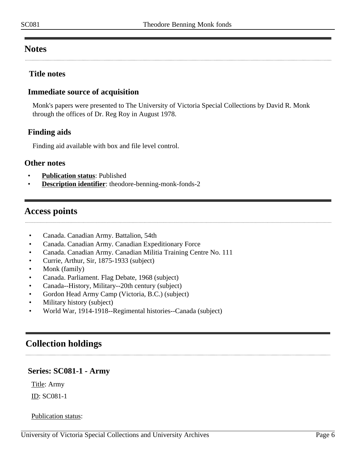#### <span id="page-5-0"></span>**Notes**

#### **Title notes**

#### **Immediate source of acquisition**

Monk's papers were presented to The University of Victoria Special Collections by David R. Monk through the offices of Dr. Reg Roy in August 1978.

#### **Finding aids**

Finding aid available with box and file level control.

#### **Other notes**

- **Publication status**: Published
- **Description identifier**: theodore-benning-monk-fonds-2

#### <span id="page-5-1"></span>**Access points**

- Canada. Canadian Army. Battalion, 54th
- Canada. Canadian Army. Canadian Expeditionary Force
- Canada. Canadian Army. Canadian Militia Training Centre No. 111
- Currie, Arthur, Sir, 1875-1933 (subject)
- Monk (family)
- Canada. Parliament. Flag Debate, 1968 (subject)
- Canada--History, Military--20th century (subject)
- Gordon Head Army Camp (Victoria, B.C.) (subject)
- Military history (subject)
- World War, 1914-1918--Regimental histories--Canada (subject)

#### <span id="page-5-2"></span>**Collection holdings**

# <span id="page-5-3"></span>**Series: SC081-1 - Army**

Title: Army

ID: SC081-1

#### Publication status: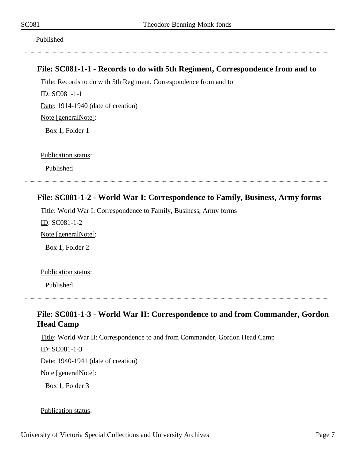Published

#### <span id="page-6-0"></span>**File: SC081-1-1 - Records to do with 5th Regiment, Correspondence from and to**

Title: Records to do with 5th Regiment, Correspondence from and to ID: SC081-1-1 Date: 1914-1940 (date of creation) Note [generalNote]: Box 1, Folder 1

Publication status:

Published

#### <span id="page-6-1"></span>**File: SC081-1-2 - World War I: Correspondence to Family, Business, Army forms**

Title: World War I: Correspondence to Family, Business, Army forms ID: SC081-1-2 Note [generalNote]: Box 1, Folder 2

Publication status:

Published

## <span id="page-6-2"></span>**File: SC081-1-3 - World War II: Correspondence to and from Commander, Gordon Head Camp**

Title: World War II: Correspondence to and from Commander, Gordon Head Camp

ID: SC081-1-3

Date: 1940-1941 (date of creation)

Note [generalNote]:

Box 1, Folder 3

Publication status: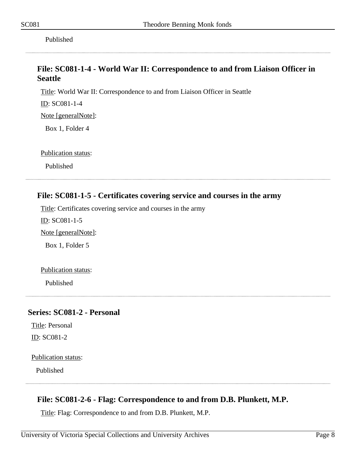Published

#### <span id="page-7-0"></span>**File: SC081-1-4 - World War II: Correspondence to and from Liaison Officer in Seattle**

Title: World War II: Correspondence to and from Liaison Officer in Seattle

ID: SC081-1-4

Note [generalNote]:

Box 1, Folder 4

Publication status:

Published

#### <span id="page-7-1"></span>**File: SC081-1-5 - Certificates covering service and courses in the army**

Title: Certificates covering service and courses in the army

ID: SC081-1-5

Note [generalNote]:

Box 1, Folder 5

Publication status:

Published

#### <span id="page-7-2"></span>**Series: SC081-2 - Personal**

Title: Personal ID: SC081-2

Publication status:

Published

#### <span id="page-7-3"></span>**File: SC081-2-6 - Flag: Correspondence to and from D.B. Plunkett, M.P.**

Title: Flag: Correspondence to and from D.B. Plunkett, M.P.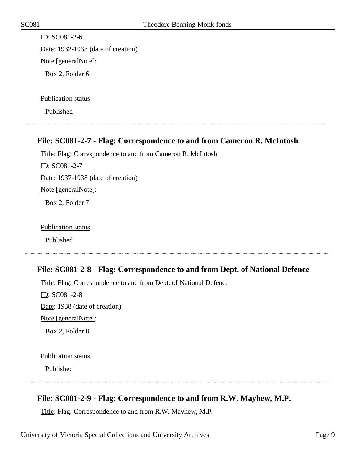ID: SC081-2-6 Date: 1932-1933 (date of creation) Note [generalNote]:

Box 2, Folder 6

Publication status:

Published

#### <span id="page-8-0"></span>**File: SC081-2-7 - Flag: Correspondence to and from Cameron R. McIntosh**

Title: Flag: Correspondence to and from Cameron R. McIntosh ID: SC081-2-7 Date: 1937-1938 (date of creation) Note [generalNote]: Box 2, Folder 7

Publication status:

Published

#### <span id="page-8-1"></span>**File: SC081-2-8 - Flag: Correspondence to and from Dept. of National Defence**

Title: Flag: Correspondence to and from Dept. of National Defence

ID: SC081-2-8 Date: 1938 (date of creation) Note [generalNote]: Box 2, Folder 8

Publication status:

Published

#### <span id="page-8-2"></span>**File: SC081-2-9 - Flag: Correspondence to and from R.W. Mayhew, M.P.**

Title: Flag: Correspondence to and from R.W. Mayhew, M.P.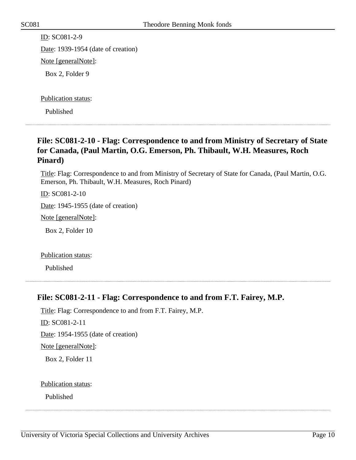ID: SC081-2-9 Date: 1939-1954 (date of creation) Note [generalNote]: Box 2, Folder 9

Publication status:

Published

#### <span id="page-9-0"></span>**File: SC081-2-10 - Flag: Correspondence to and from Ministry of Secretary of State for Canada, (Paul Martin, O.G. Emerson, Ph. Thibault, W.H. Measures, Roch Pinard)**

Title: Flag: Correspondence to and from Ministry of Secretary of State for Canada, (Paul Martin, O.G. Emerson, Ph. Thibault, W.H. Measures, Roch Pinard)

ID: SC081-2-10

Date: 1945-1955 (date of creation)

Note [generalNote]:

Box 2, Folder 10

Publication status:

Published

#### <span id="page-9-1"></span>**File: SC081-2-11 - Flag: Correspondence to and from F.T. Fairey, M.P.**

Title: Flag: Correspondence to and from F.T. Fairey, M.P.

ID: SC081-2-11

Date: 1954-1955 (date of creation)

Note [generalNote]:

Box 2, Folder 11

Publication status: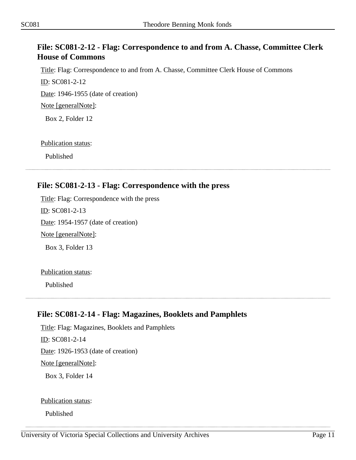#### <span id="page-10-0"></span>**File: SC081-2-12 - Flag: Correspondence to and from A. Chasse, Committee Clerk House of Commons**

Title: Flag: Correspondence to and from A. Chasse, Committee Clerk House of Commons

ID: SC081-2-12

Date: 1946-1955 (date of creation)

Note [generalNote]:

Box 2, Folder 12

Publication status:

Published

### <span id="page-10-1"></span>**File: SC081-2-13 - Flag: Correspondence with the press**

Title: Flag: Correspondence with the press ID: SC081-2-13 Date: 1954-1957 (date of creation)

Note [generalNote]:

Box 3, Folder 13

Publication status:

Published

#### <span id="page-10-2"></span>**File: SC081-2-14 - Flag: Magazines, Booklets and Pamphlets**

Title: Flag: Magazines, Booklets and Pamphlets ID: SC081-2-14 Date: 1926-1953 (date of creation) Note [generalNote]: Box 3, Folder 14

Publication status:

Published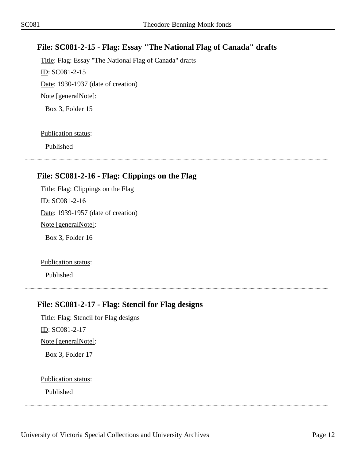#### <span id="page-11-0"></span>**File: SC081-2-15 - Flag: Essay "The National Flag of Canada" drafts**

Title: Flag: Essay "The National Flag of Canada" drafts ID: SC081-2-15 Date: 1930-1937 (date of creation) Note [generalNote]: Box 3, Folder 15

#### Publication status:

Published

#### <span id="page-11-1"></span>**File: SC081-2-16 - Flag: Clippings on the Flag**

Title: Flag: Clippings on the Flag ID: SC081-2-16 Date: 1939-1957 (date of creation) Note [generalNote]: Box 3, Folder 16

Publication status:

Published

#### <span id="page-11-2"></span>**File: SC081-2-17 - Flag: Stencil for Flag designs**

Title: Flag: Stencil for Flag designs ID: SC081-2-17 Note [generalNote]: Box 3, Folder 17

#### Publication status: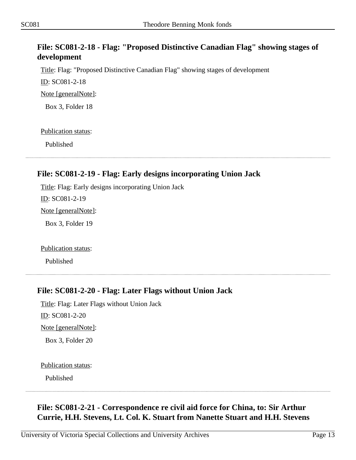#### <span id="page-12-0"></span>**File: SC081-2-18 - Flag: "Proposed Distinctive Canadian Flag" showing stages of development**

Title: Flag: "Proposed Distinctive Canadian Flag" showing stages of development

ID: SC081-2-18

Note [generalNote]:

Box 3, Folder 18

Publication status:

Published

#### <span id="page-12-1"></span>**File: SC081-2-19 - Flag: Early designs incorporating Union Jack**

Title: Flag: Early designs incorporating Union Jack ID: SC081-2-19 Note [generalNote]:

Box 3, Folder 19

Publication status:

Published

#### <span id="page-12-2"></span>**File: SC081-2-20 - Flag: Later Flags without Union Jack**

Title: Flag: Later Flags without Union Jack ID: SC081-2-20 Note [generalNote]: Box 3, Folder 20

Publication status:

Published

#### <span id="page-12-3"></span>**File: SC081-2-21 - Correspondence re civil aid force for China, to: Sir Arthur Currie, H.H. Stevens, Lt. Col. K. Stuart from Nanette Stuart and H.H. Stevens**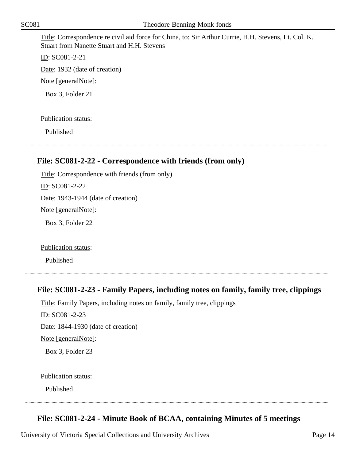Title: Correspondence re civil aid force for China, to: Sir Arthur Currie, H.H. Stevens, Lt. Col. K. Stuart from Nanette Stuart and H.H. Stevens

ID: SC081-2-21 Date: 1932 (date of creation) Note [generalNote]: Box 3, Folder 21

Publication status:

Published

#### <span id="page-13-0"></span>**File: SC081-2-22 - Correspondence with friends (from only)**

Title: Correspondence with friends (from only) ID: SC081-2-22 Date: 1943-1944 (date of creation) Note [generalNote]: Box 3, Folder 22

Publication status:

Published

# <span id="page-13-1"></span>**File: SC081-2-23 - Family Papers, including notes on family, family tree, clippings**

Title: Family Papers, including notes on family, family tree, clippings ID: SC081-2-23 Date: 1844-1930 (date of creation) Note [generalNote]: Box 3, Folder 23

#### Publication status:

Published

#### <span id="page-13-2"></span>**File: SC081-2-24 - Minute Book of BCAA, containing Minutes of 5 meetings**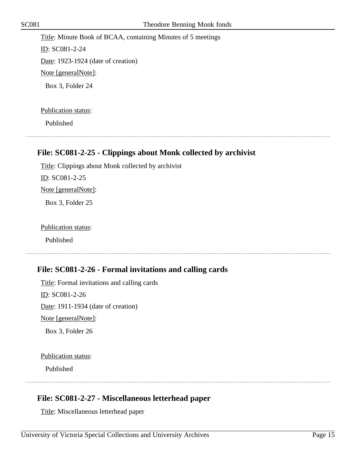Title: Minute Book of BCAA, containing Minutes of 5 meetings ID: SC081-2-24 Date: 1923-1924 (date of creation) Note [generalNote]: Box 3, Folder 24

Publication status:

Published

#### <span id="page-14-0"></span>**File: SC081-2-25 - Clippings about Monk collected by archivist**

Title: Clippings about Monk collected by archivist

ID: SC081-2-25

Note [generalNote]:

Box 3, Folder 25

Publication status:

Published

#### <span id="page-14-1"></span>**File: SC081-2-26 - Formal invitations and calling cards**

Title: Formal invitations and calling cards ID: SC081-2-26 Date: 1911-1934 (date of creation) Note [generalNote]: Box 3, Folder 26

Publication status:

Published

#### <span id="page-14-2"></span>**File: SC081-2-27 - Miscellaneous letterhead paper**

Title: Miscellaneous letterhead paper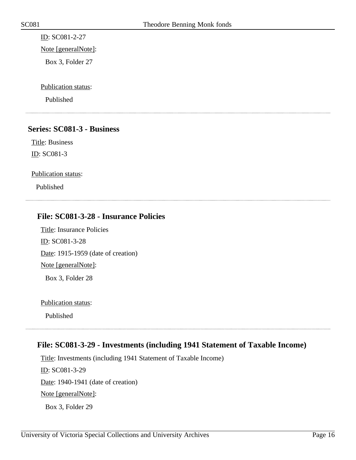ID: SC081-2-27

Note [generalNote]:

Box 3, Folder 27

Publication status:

Published

#### <span id="page-15-0"></span>**Series: SC081-3 - Business**

Title: Business ID: SC081-3

Publication status:

Published

#### <span id="page-15-1"></span>**File: SC081-3-28 - Insurance Policies**

Title: Insurance Policies ID: SC081-3-28 Date: 1915-1959 (date of creation) Note [generalNote]: Box 3, Folder 28

Publication status:

Published

#### <span id="page-15-2"></span>**File: SC081-3-29 - Investments (including 1941 Statement of Taxable Income)**

Title: Investments (including 1941 Statement of Taxable Income) ID: SC081-3-29 Date: 1940-1941 (date of creation) Note [generalNote]: Box 3, Folder 29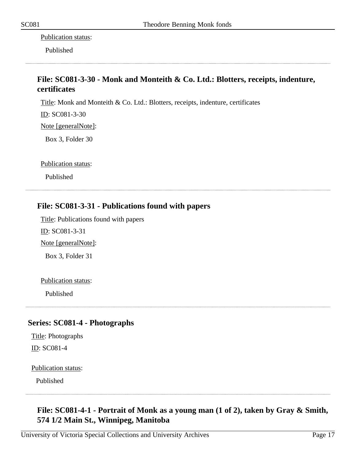Publication status:

Published

### <span id="page-16-0"></span>**File: SC081-3-30 - Monk and Monteith & Co. Ltd.: Blotters, receipts, indenture, certificates**

Title: Monk and Monteith & Co. Ltd.: Blotters, receipts, indenture, certificates

ID: SC081-3-30

Note [generalNote]:

Box 3, Folder 30

Publication status:

Published

#### <span id="page-16-1"></span>**File: SC081-3-31 - Publications found with papers**

Title: Publications found with papers

ID: SC081-3-31

Note [generalNote]:

Box 3, Folder 31

Publication status:

Published

#### <span id="page-16-2"></span>**Series: SC081-4 - Photographs**

Title: Photographs ID: SC081-4

Publication status:

Published

#### <span id="page-16-3"></span>**File: SC081-4-1 - Portrait of Monk as a young man (1 of 2), taken by Gray & Smith, 574 1/2 Main St., Winnipeg, Manitoba**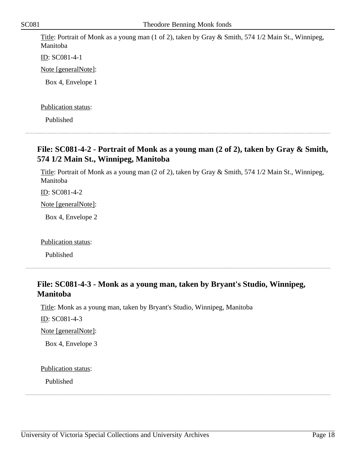Title: Portrait of Monk as a young man (1 of 2), taken by Gray & Smith, 574 1/2 Main St., Winnipeg, Manitoba

ID: SC081-4-1

Note [generalNote]:

Box 4, Envelope 1

Publication status:

Published

#### <span id="page-17-0"></span>**File: SC081-4-2 - Portrait of Monk as a young man (2 of 2), taken by Gray & Smith, 574 1/2 Main St., Winnipeg, Manitoba**

Title: Portrait of Monk as a young man (2 of 2), taken by Gray & Smith, 574 1/2 Main St., Winnipeg, Manitoba

ID: SC081-4-2

Note [generalNote]:

Box 4, Envelope 2

Publication status:

Published

#### <span id="page-17-1"></span>**File: SC081-4-3 - Monk as a young man, taken by Bryant's Studio, Winnipeg, Manitoba**

Title: Monk as a young man, taken by Bryant's Studio, Winnipeg, Manitoba

ID: SC081-4-3

Note [generalNote]:

Box 4, Envelope 3

Publication status: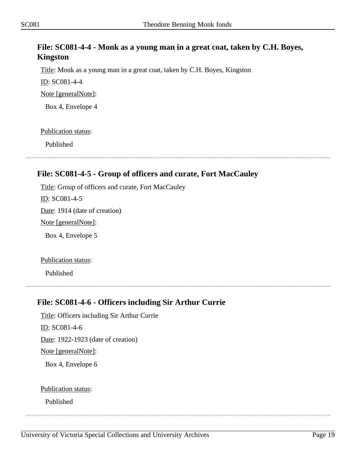#### <span id="page-18-0"></span>**File: SC081-4-4 - Monk as a young man in a great coat, taken by C.H. Boyes, Kingston**

Title: Monk as a young man in a great coat, taken by C.H. Boyes, Kingston

ID: SC081-4-4

Note [generalNote]:

Box 4, Envelope 4

Publication status:

Published

#### <span id="page-18-1"></span>**File: SC081-4-5 - Group of officers and curate, Fort MacCauley**

Title: Group of officers and curate, Fort MacCauley ID: SC081-4-5 Date: 1914 (date of creation) Note [generalNote]: Box 4, Envelope 5

Publication status:

Published

#### <span id="page-18-2"></span>**File: SC081-4-6 - Officers including Sir Arthur Currie**

Title: Officers including Sir Arthur Currie ID: SC081-4-6 Date: 1922-1923 (date of creation) Note [generalNote]: Box 4, Envelope 6

Publication status: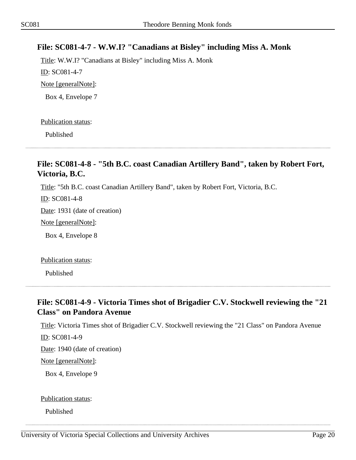#### <span id="page-19-0"></span>**File: SC081-4-7 - W.W.I? "Canadians at Bisley" including Miss A. Monk**

Title: W.W.I? "Canadians at Bisley" including Miss A. Monk ID: SC081-4-7 Note [generalNote]: Box 4, Envelope 7

#### Publication status:

Published

#### <span id="page-19-1"></span>**File: SC081-4-8 - "5th B.C. coast Canadian Artillery Band", taken by Robert Fort, Victoria, B.C.**

Title: "5th B.C. coast Canadian Artillery Band", taken by Robert Fort, Victoria, B.C.

ID: SC081-4-8

Date: 1931 (date of creation)

Note [generalNote]:

Box 4, Envelope 8

Publication status:

Published

#### <span id="page-19-2"></span>**File: SC081-4-9 - Victoria Times shot of Brigadier C.V. Stockwell reviewing the "21 Class" on Pandora Avenue**

Title: Victoria Times shot of Brigadier C.V. Stockwell reviewing the "21 Class" on Pandora Avenue ID: SC081-4-9

Date: 1940 (date of creation)

Note [generalNote]:

Box 4, Envelope 9

#### Publication status: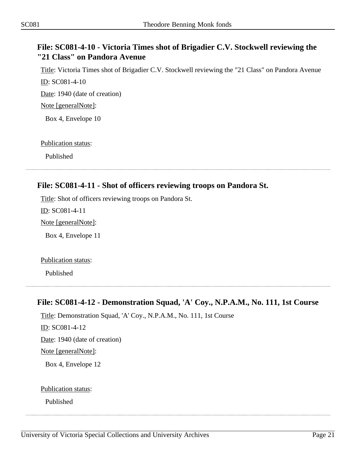#### <span id="page-20-0"></span>**File: SC081-4-10 - Victoria Times shot of Brigadier C.V. Stockwell reviewing the "21 Class" on Pandora Avenue**

Title: Victoria Times shot of Brigadier C.V. Stockwell reviewing the "21 Class" on Pandora Avenue ID: SC081-4-10

Date: 1940 (date of creation)

Note [generalNote]:

Box 4, Envelope 10

Publication status:

Published

<span id="page-20-1"></span>**File: SC081-4-11 - Shot of officers reviewing troops on Pandora St.**

# Title: Shot of officers reviewing troops on Pandora St.

ID: SC081-4-11

Note [generalNote]:

Box 4, Envelope 11

Publication status:

Published

#### <span id="page-20-2"></span>**File: SC081-4-12 - Demonstration Squad, 'A' Coy., N.P.A.M., No. 111, 1st Course**

Title: Demonstration Squad, 'A' Coy., N.P.A.M., No. 111, 1st Course

ID: SC081-4-12

Date: 1940 (date of creation)

Note [generalNote]:

Box 4, Envelope 12

Publication status: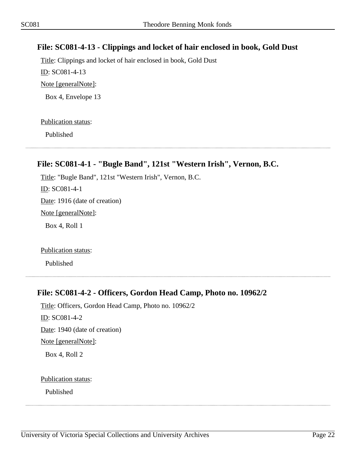#### <span id="page-21-0"></span>**File: SC081-4-13 - Clippings and locket of hair enclosed in book, Gold Dust**

Title: Clippings and locket of hair enclosed in book, Gold Dust ID: SC081-4-13 Note [generalNote]: Box 4, Envelope 13

#### Publication status:

Published

# <span id="page-21-1"></span>**File: SC081-4-1 - "Bugle Band", 121st "Western Irish", Vernon, B.C.**

Title: "Bugle Band", 121st "Western Irish", Vernon, B.C. ID: SC081-4-1 Date: 1916 (date of creation) Note [generalNote]: Box 4, Roll 1

Publication status:

Published

#### <span id="page-21-2"></span>**File: SC081-4-2 - Officers, Gordon Head Camp, Photo no. 10962/2**

Title: Officers, Gordon Head Camp, Photo no. 10962/2 ID: SC081-4-2 Date: 1940 (date of creation) Note [generalNote]: Box 4, Roll 2

Publication status: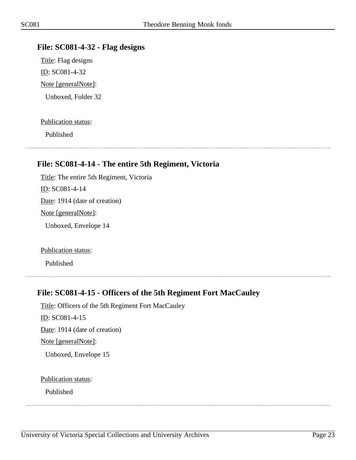#### <span id="page-22-0"></span>**File: SC081-4-32 - Flag designs**

Title: Flag designs ID: SC081-4-32 Note [generalNote]: Unboxed, Folder 32

#### Publication status:

Published

#### <span id="page-22-1"></span>**File: SC081-4-14 - The entire 5th Regiment, Victoria**

Title: The entire 5th Regiment, Victoria ID: SC081-4-14 Date: 1914 (date of creation) Note [generalNote]: Unboxed, Envelope 14

Publication status:

Published

#### <span id="page-22-2"></span>**File: SC081-4-15 - Officers of the 5th Regiment Fort MacCauley**

Title: Officers of the 5th Regiment Fort MacCauley ID: SC081-4-15 Date: 1914 (date of creation) Note [generalNote]: Unboxed, Envelope 15

Publication status: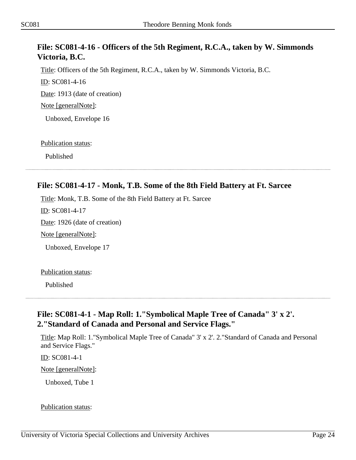#### <span id="page-23-0"></span>**File: SC081-4-16 - Officers of the 5th Regiment, R.C.A., taken by W. Simmonds Victoria, B.C.**

Title: Officers of the 5th Regiment, R.C.A., taken by W. Simmonds Victoria, B.C.

ID: SC081-4-16

Date: 1913 (date of creation)

Note [generalNote]:

Unboxed, Envelope 16

Publication status:

Published

# <span id="page-23-1"></span>**File: SC081-4-17 - Monk, T.B. Some of the 8th Field Battery at Ft. Sarcee**

Title: Monk, T.B. Some of the 8th Field Battery at Ft. Sarcee

ID: SC081-4-17

Date: 1926 (date of creation)

Note [generalNote]:

Unboxed, Envelope 17

Publication status:

Published

#### <span id="page-23-2"></span>**File: SC081-4-1 - Map Roll: 1."Symbolical Maple Tree of Canada" 3' x 2'. 2."Standard of Canada and Personal and Service Flags."**

Title: Map Roll: 1."Symbolical Maple Tree of Canada" 3' x 2'. 2."Standard of Canada and Personal and Service Flags."

ID: SC081-4-1

Note [generalNote]:

Unboxed, Tube 1

#### Publication status: